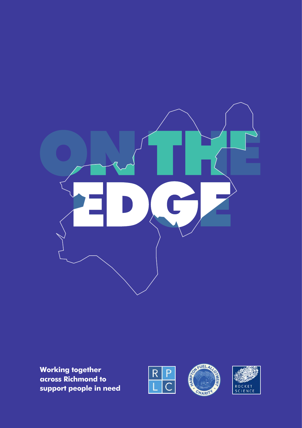

**Working together across Richmond to support people in need**





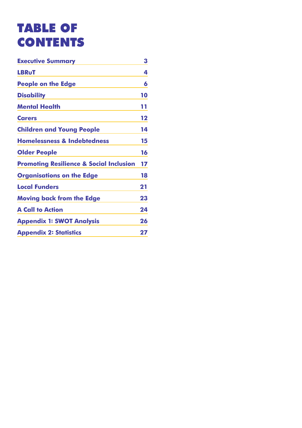# TABLE OF CONTENTS

| <b>Executive Summary</b>                           | 3  |
|----------------------------------------------------|----|
| <b>LBRuT</b>                                       | 4  |
| <b>People on the Edge</b>                          | 6  |
| <b>Disability</b>                                  | 10 |
| <b>Mental Health</b>                               | 11 |
| <b>Carers</b>                                      | 12 |
| <b>Children and Young People</b>                   | 14 |
| <b>Homelessness &amp; Indebtedness</b>             | 15 |
| <b>Older People</b>                                | 16 |
| <b>Promoting Resilience &amp; Social Inclusion</b> | 17 |
| <b>Organisations on the Edge</b>                   | 18 |
| <b>Local Funders</b>                               | 21 |
| <b>Moving back from the Edge</b>                   | 23 |
| <b>A Call to Action</b>                            | 24 |
| <b>Appendix 1: SWOT Analysis</b>                   | 26 |
| <b>Appendix 2: Statistics</b>                      | 27 |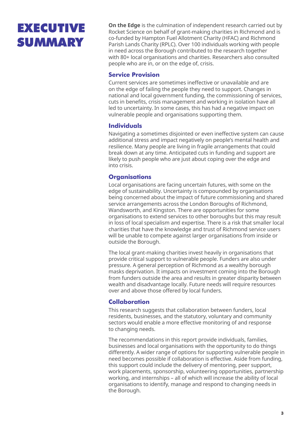# EXECUTIVE SUMMARY

**On the Edge** is the culmination of independent research carried out by Rocket Science on behalf of grant-making charities in Richmond and is co-funded by Hampton Fuel Allotment Charity (HFAC) and Richmond Parish Lands Charity (RPLC). Over 100 individuals working with people in need across the Borough contributed to the research together with 80+ local organisations and charities. Researchers also consulted people who are in, or on the edge of, crisis.

#### **Service Provision**

Current services are sometimes ineffective or unavailable and are on the edge of failing the people they need to support. Changes in national and local government funding, the commissioning of services, cuts in benefits, crisis management and working in isolation have all led to uncertainty. In some cases, this has had a negative impact on vulnerable people and organisations supporting them.

#### **Individuals**

Navigating a sometimes disjointed or even ineffective system can cause additional stress and impact negatively on people's mental health and resilience. Many people are living in fragile arrangements that could break down at any time. Anticipated cuts in funding and support are likely to push people who are just about coping over the edge and into crisis.

#### **Organisations**

Local organisations are facing uncertain futures, with some on the edge of sustainability. Uncertainty is compounded by organisations being concerned about the impact of future commissioning and shared service arrangements across the London Boroughs of Richmond, Wandsworth, and Kingston. There are opportunities for some organisations to extend services to other boroughs but this may result in loss of local specialism and expertise. There is a risk that smaller local charities that have the knowledge and trust of Richmond service users will be unable to compete against larger organisations from inside or outside the Borough.

The local grant-making charities invest heavily in organisations that provide critical support to vulnerable people. Funders are also under pressure. A general perception of Richmond as a wealthy borough masks deprivation. It impacts on investment coming into the Borough from funders outside the area and results in greater disparity between wealth and disadvantage locally. Future needs will require resources over and above those offered by local funders.

#### **Collaboration**

This research suggests that collaboration between funders, local residents, businesses, and the statutory, voluntary and community sectors would enable a more effective monitoring of and response to changing needs.

The recommendations in this report provide individuals, families, businesses and local organisations with the opportunity to do things differently. A wider range of options for supporting vulnerable people in need becomes possible if collaboration is effective. Aside from funding, this support could include the delivery of mentoring, peer support, work placements, sponsorship, volunteering opportunities, partnership working, and internships – all of which will increase the ability of local organisations to identify, manage and respond to changing needs in the Borough.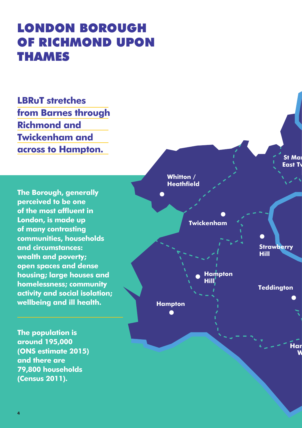# LONDON BOROUGH OF RICHMOND UPON THAMES

**LBRuT stretches from Barnes through Richmond and Twickenham and across to Hampton.** 

**The Borough, generally perceived to be one of the most affluent in London, is made up of many contrasting communities, households and circumstances: wealth and poverty; open spaces and dense housing; large houses and homelessness; community activity and social isolation; wellbeing and ill health.**

**The population is around 195,000 (ONS estimate 2015) and there are 79,800 households (Census 2011).**

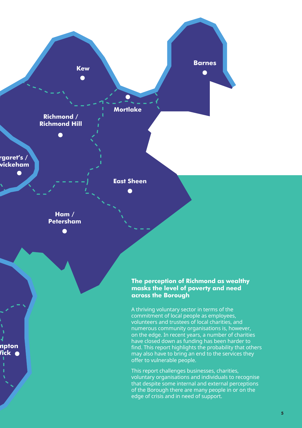

voluntary organisations and individuals to recognise that despite some internal and external perceptions of the Borough there are many people in or on the edge of crisis and in need of support.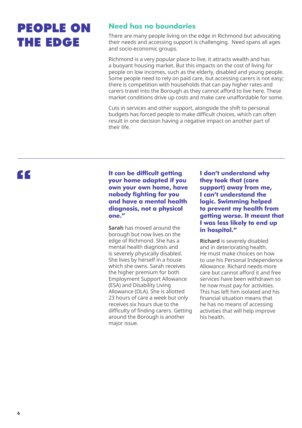# PEOPLE ON THE EDGE

#### **Need has no boundaries**

There are many people living on the edge in Richmond but advocating their needs and accessing support is challenging. Need spans all ages and socio-economic groups.

Richmond is a very popular place to live, it attracts wealth and has a buoyant housing market. But this impacts on the cost of living for people on low incomes, such as the elderly, disabled and young people. Some people need to rely on paid care, but accessing carers is not easy; there is competition with households that can pay higher rates and carers travel into the Borough as they cannot afford to live here. These market conditions drive up costs and make care unaffordable for some.

Cuts in services and other support, alongside the shift to personal budgets has forced people to make difficult choices, which can often result in one decision having a negative impact on another part of their life.

#### **It can be difficult getting your home adapted if you own your own home, have nobody fighting for you and have a mental health diagnosis, not a physical one."**

**Sarah** has moved around the borough but now lives on the edge of Richmond. She has a mental health diagnosis and is severely physically disabled. She lives by herself in a house which she owns. Sarah receives the higher premium for both Employment Support Allowance (ESA) and Disability Living Allowance (DLA). She is allotted 23 hours of care a week but only receives six hours due to the difficulty of finding carers. Getting around the Borough is another major issue.

**I don't understand why they took that (care support) away from me, I can't understand the logic. Swimming helped to prevent my health from getting worse. It meant that I was less likely to end up in hospital."** 

**Richard** is severely disabled and in deteriorating health. He must make choices on how to use his Personal Independence Allowance. Richard needs more care but cannot afford it and free services have been withdrawn so he now must pay for activities. This has left him isolated and his financial situation means that he has no means of accessing activities that will help improve his health.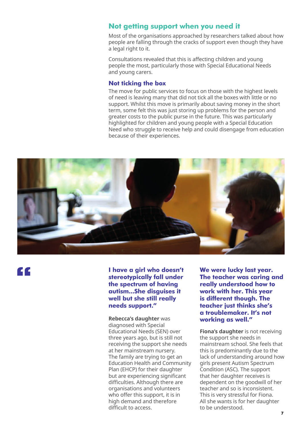#### **Not getting support when you need it**

Most of the organisations approached by researchers talked about how people are falling through the cracks of support even though they have a legal right to it.

Consultations revealed that this is affecting children and young people the most, particularly those with Special Educational Needs and young carers.

#### **Not ticking the box**

The move for public services to focus on those with the highest levels of need is leaving many that did not tick all the boxes with little or no support. Whilst this move is primarily about saving money in the short term, some felt this was just storing up problems for the person and greater costs to the public purse in the future. This was particularly highlighted for children and young people with a Special Education Need who struggle to receive help and could disengage from education because of their experiences.



**CC** 

**I have a girl who doesn't stereotypically fall under the spectrum of having autism...She disguises it well but she still really needs support."**

**Rebecca's daughter** was diagnosed with Special Educational Needs (SEN) over three years ago, but is still not receiving the support she needs at her mainstream nursery. The family are trying to get an Education Health and Community Plan (EHCP) for their daughter but are experiencing significant difficulties. Although there are organisations and volunteers who offer this support, it is in high demand and therefore difficult to access.

**We were lucky last year. The teacher was caring and really understood how to work with her. This year is different though. The teacher just thinks she's a troublemaker. It's not working as well."**

**Fiona's daughter** is not receiving the support she needs in mainstream school. She feels that this is predominantly due to the lack of understanding around how girls present Autism Spectrum Condition (ASC). The support that her daughter receives is dependent on the goodwill of her teacher and so is inconsistent. This is very stressful for Fiona. All she wants is for her daughter to be understood.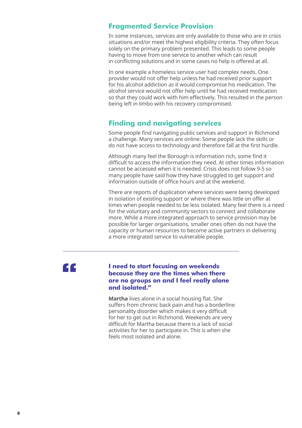#### **Fragmented Service Provision**

In some instances, services are only available to those who are in crisis situations and/or meet the highest eligibility criteria. They often focus solely on the primary problem presented. This leads to some people having to move from one service to another which can result in conflicting solutions and in some cases no help is offered at all.

In one example a homeless service user had complex needs. One provider would not offer help unless he had received prior support for his alcohol addiction as it would compromise his medication. The alcohol service would not offer help until he had received medication so that they could work with him effectively. This resulted in the person being left in limbo with his recovery compromised.

#### **Finding and navigating services**

Some people find navigating public services and support in Richmond a challenge. Many services are online. Some people lack the skills or do not have access to technology and therefore fall at the first hurdle.

Although many feel the Borough is information rich, some find it difficult to access the information they need. At other times information cannot be accessed when it is needed. Crisis does not follow 9-5 so many people have said how they have struggled to get support and information outside of office hours and at the weekend.

There are reports of duplication where services were being developed in isolation of existing support or where there was little on offer at times when people needed to be less isolated. Many feel there is a need for the voluntary and community sectors to connect and collaborate more. While a more integrated approach to service provision may be possible for larger organisations, smaller ones often do not have the capacity or human resources to become active partners in delivering a more integrated service to vulnerable people.

# **CC**

#### **I need to start focusing on weekends because they are the times when there are no groups on and I feel really alone and isolated."**

**Martha** lives alone in a social housing flat. She suffers from chronic back pain and has a borderline personality disorder which makes it very difficult for her to get out in Richmond. Weekends are very difficult for Martha because there is a lack of social activities for her to participate in. This is when she feels most isolated and alone.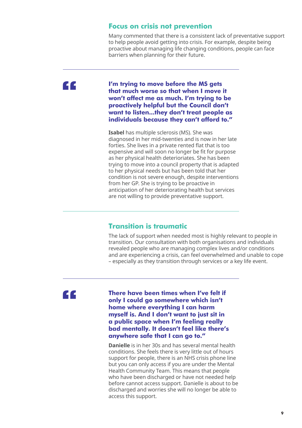#### **Focus on crisis not prevention**

Many commented that there is a consistent lack of preventative support to help people avoid getting into crisis. For example, despite being proactive about managing life changing conditions, people can face barriers when planning for their future.

# **CG**

**I'm trying to move before the MS gets that much worse so that when I move it won't affect me as much. I'm trying to be proactively helpful but the Council don't want to listen...they don't treat people as individuals because they can't afford to."**

**Isabel** has multiple sclerosis (MS). She was diagnosed in her mid-twenties and is now in her late forties. She lives in a private rented flat that is too expensive and will soon no longer be fit for purpose as her physical health deterioriates. She has been trying to move into a council property that is adapted to her physical needs but has been told that her condition is not severe enough, despite interventions from her GP. She is trying to be proactive in anticipation of her deteriorating health but services are not willing to provide preventative support.

#### **Transition is traumatic**

The lack of support when needed most is highly relevant to people in transition. Our consultation with both organisations and individuals revealed people who are managing complex lives and/or conditions and are experiencing a crisis, can feel overwhelmed and unable to cope – especially as they transition through services or a key life event.



**There have been times when I've felt if only I could go somewhere which isn't home where everything I can harm myself is. And I don't want to just sit in a public space when I'm feeling really bad mentally. It doesn't feel like there's anywhere safe that I can go to."**

**Danielle** is in her 30s and has several mental health conditions. She feels there is very little out of hours support for people, there is an NHS crisis phone line but you can only access if you are under the Mental Health Community Team. This means that people who have been discharged or have not needed help before cannot access support. Danielle is about to be discharged and worries she will no longer be able to access this support.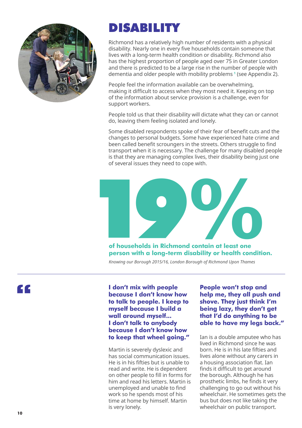

# DISABILITY

Richmond has a relatively high number of residents with a physical disability. Nearly one in every five households contain someone that lives with a long-term health condition or disability. Richmond also has the highest proportion of people aged over 75 in Greater London and there is predicted to be a large rise in the number of people with dementia and older people with mobility problems **1** (see Appendix 2).

People feel the information available can be overwhelming, making it difficult to access when they most need it. Keeping on top of the information about service provision is a challenge, even for support workers.

People told us that their disability will dictate what they can or cannot do, leaving them feeling isolated and lonely.

Some disabled respondents spoke of their fear of benefit cuts and the changes to personal budgets. Some have experienced hate crime and been called benefit scroungers in the streets. Others struggle to find transport when it is necessary. The challenge for many disabled people is that they are managing complex lives, their disability being just one of several issues they need to cope with.



**of households in Richmond contain at least one person with a long-term disability or health condition.**

*Knowing our Borough 2015/16, London Borough of Richmond Upon Thames*



**I don't mix with people because I don't know how to talk to people. I keep to myself because I build a wall around myself... I don't talk to anybody because I don't know how to keep that wheel going."**

Martin is severely dyslexic and has social communication issues. He is in his fifties but is unable to read and write. He is dependent on other people to fill in forms for him and read his letters. Martin is unemployed and unable to find work so he spends most of his time at home by himself. Martin is very lonely.

**People won't stop and help me, they all push and shove. They just think I'm being lazy, they don't get that I'd do anything to be able to have my legs back."**

Ian is a double amputee who has lived in Richmond since he was born. He is in his late fifties and lives alone without any carers in a housing association flat. Ian finds it difficult to get around the borough. Although he has prosthetic limbs, he finds it very challenging to go out without his wheelchair. He sometimes gets the bus but does not like taking the wheelchair on public transport.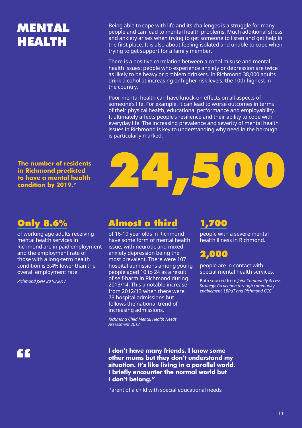# MENTAL HEALTH

Being able to cope with life and its challenges is a struggle for many people and can lead to mental health problems. Much additional stress and anxiety arises when trying to get someone to listen and get help in the first place. It is also about feeling isolated and unable to cope when trying to get support for a family member.

There is a positive correlation between alcohol misuse and mental health issues: people who experience anxiety or depression are twice as likely to be heavy or problem drinkers. In Richmond 38,000 adults drink alcohol at increasing or higher risk levels, the 10th highest in the country.

Poor mental health can have knock-on effects on all aspects of someone's life. For example, it can lead to worse outcomes in terms of their physical health, educational performance and employability. It ultimately affects people's resilience and their ability to cope with everyday life. The increasing prevalence and severity of mental health issues in Richmond is key to understanding why need in the borough is particularly marked.

**The number of residents in Richmond predicted to have a mental health condition by 2019. <sup>2</sup>**



of working age adults receiving mental health services in Richmond are in paid employment and the employment rate of those with a long-term health condition is 3.4% lower than the overall employment rate.

*Richmond JSNA 2016/2017*

## Only 8.6% Almost a third

of 16-19 year olds in Richmond have some form of mental health issue, with neurotic and mixed anxiety depression being the most prevalent. There were 107 hospital admissions among young people aged 10 to 24 as a result of self-harm in Richmond during 2013/14. This a notable increase from 2012/13 when there were 73 hospital admissions but follows the national trend of increasing admissions.

*Richmond Child Mental Health Needs Assessment 2012*

## 1,700

people with a severe mental health illness in Richmond.

### 2,000

people are in contact with special mental health services.

Both sourced from *Joint Community Access Strategy: Prevention through community enablement. LBRuT and Richmond CCG*

**CC** 

**I don't have many friends. I know some other mums but they don't understand my situation. It's like living in a parallel world. I briefly encounter the normal world but I don't belong."**

Parent of a child with special educational needs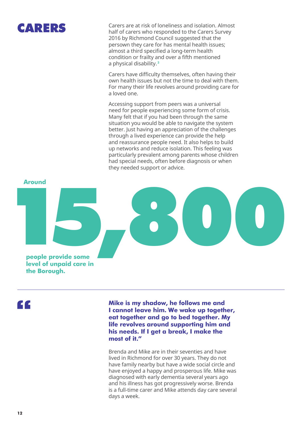

Carers are at risk of loneliness and isolation. Almost half of carers who responded to the Carers Survey 2016 by Richmond Council suggested that the persown they care for has mental health issues; almost a third specified a long-term health condition or frailty and over a fifth mentioned a physical disability.**<sup>3</sup>**

Carers have difficulty themselves, often having their own health issues but not the time to deal with them. For many their life revolves around providing care for a loved one.

Accessing support from peers was a universal need for people experiencing some form of crisis. Many felt that if you had been through the same situation you would be able to navigate the system better. Just having an appreciation of the challenges through a lived experience can provide the help and reassurance people need. It also helps to build up networks and reduce isolation. This feeling was particularly prevalent among parents whose children had special needs, often before diagnosis or when they needed support or advice.



CC

**Mike is my shadow, he follows me and I cannot leave him. We wake up together, eat together and go to bed together. My life revolves around supporting him and his needs. If I get a break, I make the most of it."**

Brenda and Mike are in their seventies and have lived in Richmond for over 30 years. They do not have family nearby but have a wide social circle and have enjoyed a happy and prosperous life. Mike was diagnosed with early dementia several years ago and his illness has got progressively worse. Brenda is a full-time carer and Mike attends day care several days a week.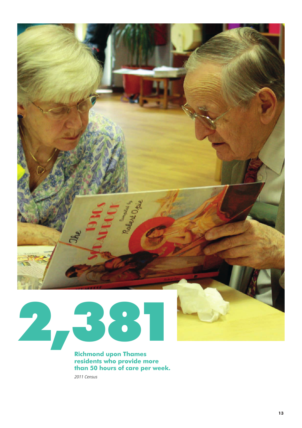

Rabert On

*2011 Census*

2,381

Me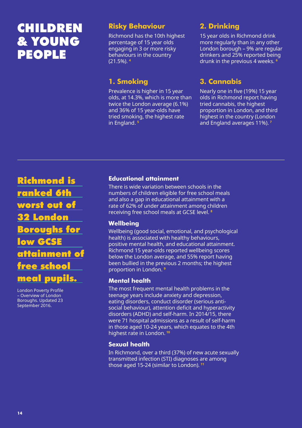# CHILDREN & YOUNG PEOPLE

#### **Risky Behaviour**

Richmond has the 10th highest percentage of 15 year olds engaging in 3 or more risky behaviours in the country (21.5%). **<sup>4</sup>**

### **1. Smoking**

Prevalence is higher in 15 year olds, at 14.3%, which is more than twice the London average (6.1%) and 36% of 15 year-olds have tried smoking, the highest rate in England. **<sup>5</sup>**

### **2. Drinking**

15 year olds in Richmond drink more regularly than in any other London borough – 9% are regular drinkers and 25% reported being drunk in the previous 4 weeks. **<sup>6</sup>**

### **3. Cannabis**

Nearly one in five (19%) 15 year olds in Richmond report having tried cannabis, the highest proportion in London, and third highest in the country (London and England averages 11%). **<sup>7</sup>**

Richmond is ranked 6th worst out of 32 London Boroughs for low GCSE attainment of free school meal pupils.

London Poverty Profile – Overview of London Boroughs. Updated 23 September 2016.

#### **Educational attainment**

There is wide variation between schools in the numbers of children eligible for free school meals and also a gap in educational attainment with a rate of 62% of under attainment among children receiving free school meals at GCSE level. **<sup>8</sup>**

#### **Wellbeing**

Wellbeing (good social, emotional, and psychological health) is associated with healthy behaviours, positive mental health, and educational attainment. Richmond 15 year-olds reported wellbeing scores below the London average, and 55% report having been bullied in the previous 2 months; the highest proportion in London. **<sup>9</sup>**

#### **Mental health**

The most frequent mental health problems in the teenage years include anxiety and depression, eating disorders, conduct disorder (serious antisocial behaviour), attention deficit and hyperactivity disorders (ADHD) and self-harm. In 2014/15, there were 71 hospital admissions as a result of self-harm in those aged 10-24 years, which equates to the 4th highest rate in London. **<sup>10</sup>**

#### **Sexual health**

In Richmond, over a third (37%) of new acute sexually transmitted infection (STI) diagnoses are among those aged 15-24 (similar to London). **<sup>11</sup>**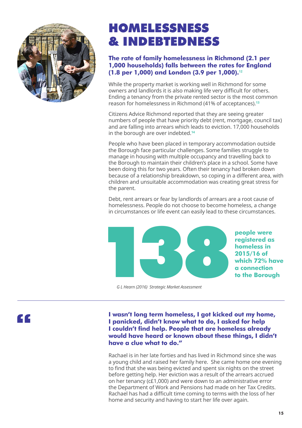

# HOMELESSNESS & INDEBTEDNESS

#### **The rate of family homelessness in Richmond (2.1 per 1,000 households) falls between the rates for England (1.8 per 1,000) and London (3.9 per 1,000).<sup>12</sup>**

While the property market is working well in Richmond for some owners and landlords it is also making life very difficult for others. Ending a tenancy from the private rented sector is the most common reason for homelessness in Richmond (41% of acceptances).**<sup>13</sup>**

Citizens Advice Richmond reported that they are seeing greater numbers of people that have priority debt (rent, mortgage, council tax) and are falling into arrears which leads to eviction. 17,000 households in the borough are over indebted.**<sup>14</sup>**

People who have been placed in temporary accommodation outside the Borough face particular challenges. Some families struggle to manage in housing with multiple occupancy and travelling back to the Borough to maintain their children's place in a school. Some have been doing this for two years. Often their tenancy had broken down because of a relationship breakdown, so coping in a different area, with children and unsuitable accommodation was creating great stress for the parent.

Debt, rent arrears or fear by landlords of arrears are a root cause of homelessness. People do not choose to become homeless, a change in circumstances or life event can easily lead to these circumstances.



**people were registered as homeless in 2015/16 of which 72% have a connection to the Borough**

*G L Hearn (2016) Strategic Market Assessment*

**I wasn't long term homeless, I got kicked out my home, I panicked, didn't know what to do, I asked for help I couldn't find help. People that are homeless already would have heard or known about these things, I didn't have a clue what to do."** 

Rachael is in her late forties and has lived in Richmond since she was a young child and raised her family here. She came home one evening to find that she was being evicted and spent six nights on the street before getting help. Her eviction was a result of the arrears accrued on her tenancy (c£1,000) and were down to an administrative error the Department of Work and Pensions had made on her Tax Credits. Rachael has had a difficult time coming to terms with the loss of her home and security and having to start her life over again.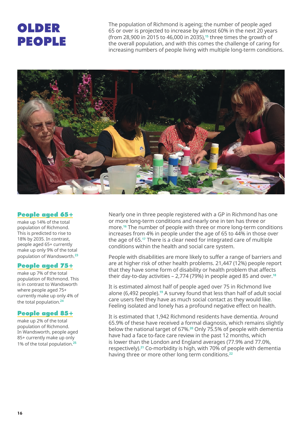# OLDER PEOPLE

The population of Richmond is ageing; the number of people aged 65 or over is projected to increase by almost 60% in the next 20 years (from 28,900 in 2015 to 46,000 in 2035),**15** three times the growth of the overall population, and with this comes the challenge of caring for increasing numbers of people living with multiple long-term conditions.



#### People aged 65+

make up 14% of the total population of Richmond. This is predicted to rise to 18% by 2035. In contrast, people aged 65+ currently make up only 9% of the total population of Wandsworth.**<sup>23</sup>**

#### People aged 75+

make up 7% of the total population of Richmond. This is in contrast to Wandsworth where people aged 75+ currently make up only 4% of the total population.**<sup>24</sup>**

#### People aged 85+

make up 2% of the total population of Richmond. In Wandsworth, people aged 85+ currently make up only 1% of the total population.**<sup>25</sup>**

Nearly one in three people registered with a GP in Richmond has one or more long-term conditions and nearly one in ten has three or more.**16** The number of people with three or more long-term conditions increases from 4% in people under the age of 65 to 44% in those over the age of 65.**17** There is a clear need for integrated care of multiple conditions within the health and social care system.

People with disabilities are more likely to suffer a range of barriers and are at higher risk of other health problems. 21,447 (12%) people report that they have some form of disability or health problem that affects their day-to-day activities – 2,774 (79%) in people aged 85 and over.**<sup>18</sup>**

It is estimated almost half of people aged over 75 in Richmond live alone (6,492 people).**19** A survey found that less than half of adult social care users feel they have as much social contact as they would like. Feeling isolated and lonely has a profound negative effect on health.

It is estimated that 1,942 Richmond residents have dementia. Around 65.9% of these have received a formal diagnosis, which remains slightly below the national target of 67%.**20** Only 75.5% of people with dementia have had a face to-face care review in the past 12 months, which is lower than the London and England averages (77.9% and 77.0%, respectively).**21** Co-morbidity is high, with 70% of people with dementia having three or more other long term conditions.**<sup>22</sup>**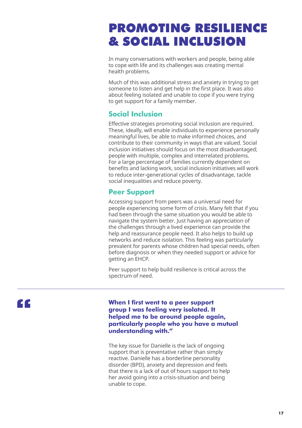# PROMOTING RESILIENCE & SOCIAL INCLUSION

In many conversations with workers and people, being able to cope with life and its challenges was creating mental health problems.

Much of this was additional stress and anxiety in trying to get someone to listen and get help in the first place. It was also about feeling isolated and unable to cope if you were trying to get support for a family member.

### **Social Inclusion**

Effective strategies promoting social inclusion are required. These, ideally, will enable individuals to experience personally meaningful lives, be able to make informed choices, and contribute to their community in ways that are valued. Social inclusion initiatives should focus on the most disadvantaged; people with multiple, complex and interrelated problems. For a large percentage of families currently dependent on benefits and lacking work, social inclusion initiatives will work to reduce inter-generational cycles of disadvantage, tackle social inequalities and reduce poverty.

### **Peer Support**

Accessing support from peers was a universal need for people experiencing some form of crisis. Many felt that if you had been through the same situation you would be able to navigate the system better. Just having an appreciation of the challenges through a lived experience can provide the help and reassurance people need. It also helps to build up networks and reduce isolation. This feeling was particularly prevalent for parents whose children had special needs, often before diagnosis or when they needed support or advice for getting an EHCP.

Peer support to help build resilience is critical across the spectrum of need.

**CC** 

**When I first went to a peer support group I was feeling very isolated. It helped me to be around people again, particularly people who you have a mutual understanding with."**

The key issue for Danielle is the lack of ongoing support that is preventative rather than simply reactive. Danielle has a borderline personality disorder (BPD), anxiety and depression and feels that there is a lack of out of hours support to help her avoid going into a crisis-situation and being unable to cope.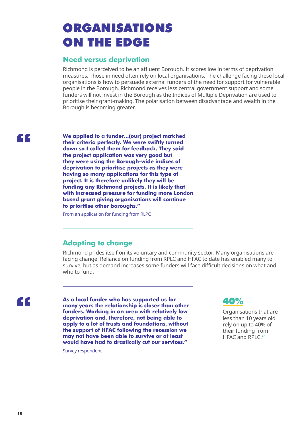# ORGANISATIONS ON THE EDGE

#### **Need versus deprivation**

Richmond is perceived to be an affluent Borough. It scores low in terms of deprivation measures. Those in need often rely on local organisations. The challenge facing these local organisations is how to persuade external funders of the need for support for vulnerable people in the Borough. Richmond receives less central government support and some funders will not invest in the Borough as the Indices of Multiple Deprivation are used to prioritise their grant-making. The polarisation between disadvantage and wealth in the Borough is becoming greater.

**CC** 

**We applied to a funder...(our) project matched their criteria perfectly. We were swiftly turned down so I called them for feedback. They said the project application was very good but they were using the Borough-wide indices of deprivation to prioritise projects as they were having so many applications for this type of project. It is therefore unlikely they will be funding any Richmond projects. It is likely that with increased pressure for funding more London based grant giving organisations will continue to prioritise other boroughs."**

From an application for funding from RLPC

#### **Adapting to change**

Richmond prides itself on its voluntary and community sector. Many organisations are facing change. Reliance on funding from RPLC and HFAC to date has enabled many to survive, but as demand increases some funders will face difficult decisions on what and who to fund.

**CC** 

**As a local funder who has supported us for many years the relationship is closer than other funders. Working in an area with relatively low deprivation and, therefore, not being able to apply to a lot of trusts and foundations, without the support of HFAC following the recession we may not have been able to survive or at least would have had to drastically cut our services."**

40%

Organisations that are less than 10 years old rely on up to 40% of their funding from HFAC and RPLC.**<sup>26</sup>**

Survey respondent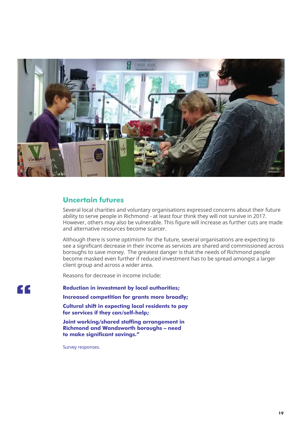

#### **Uncertain futures**

Several local charities and voluntary organisations expressed concerns about their future ability to serve people in Richmond - at least four think they will not survive in 2017. However, others may also be vulnerable. This figure will increase as further cuts are made and alternative resources become scarcer.

Although there is some optimism for the future, several organisations are expecting to see a significant decrease in their income as services are shared and commissioned across boroughs to save money. The greatest danger is that the needs of Richmond people become masked even further if reduced investment has to be spread amongst a larger client group and across a wider area.

Reasons for decrease in income include:

**Reduction in investment by local authorities;** 

**Increased competition for grants more broadly;** 

**Cultural shift in expecting local residents to pay for services if they can/self-help;**

**Joint working/shared staffing arrangement in Richmond and Wandsworth boroughs – need to make significant savings."** 

Survey responses.

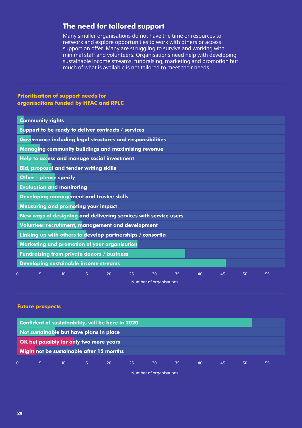#### **The need for tailored support**

Many smaller organisations do not have the time or resources to network and explore opportunities to work with others or access support on offer. Many are struggling to survive and working with minimal staff and volunteers. Organisations need help with developing sustainable income streams, fundraising, marketing and promotion but much of what is available is not tailored to meet their needs.

#### **Prioritisation of support needs for organisations funded by HFAC and RPLC**

| <b>Community rights</b>                                            |  |  |  |  |  |  |  |  |
|--------------------------------------------------------------------|--|--|--|--|--|--|--|--|
| Support to be ready to deliver contracts / services                |  |  |  |  |  |  |  |  |
| <b>Governance including legal structures and responsibilities</b>  |  |  |  |  |  |  |  |  |
| <b>Managing community buildings and maximising revenue</b>         |  |  |  |  |  |  |  |  |
| Help to access and manage social investment                        |  |  |  |  |  |  |  |  |
| <b>Bid, proposal and tender writing skills</b>                     |  |  |  |  |  |  |  |  |
| <b>Other - please specify</b>                                      |  |  |  |  |  |  |  |  |
| <b>Evaluation and monitoring</b>                                   |  |  |  |  |  |  |  |  |
| Developing management and trustee skills                           |  |  |  |  |  |  |  |  |
| <b>Measuring and promoting your impact</b>                         |  |  |  |  |  |  |  |  |
| New ways of designing and delivering services with service users   |  |  |  |  |  |  |  |  |
| Volunteer recruitment, management and development                  |  |  |  |  |  |  |  |  |
| Linking up with others to develop partnerships / consortia         |  |  |  |  |  |  |  |  |
| <b>Marketing and promotion of your organisation</b>                |  |  |  |  |  |  |  |  |
| <b>Fundraising from private donors / business</b>                  |  |  |  |  |  |  |  |  |
| <b>Developing sustainable income streams</b>                       |  |  |  |  |  |  |  |  |
| 15<br>40<br>5<br>10<br>20<br>25<br>30<br>35<br>45<br>50<br>55<br>0 |  |  |  |  |  |  |  |  |
| Number of organisations                                            |  |  |  |  |  |  |  |  |

#### **Future prospects**

| Confident of sustainability, will be here in 2020 |                |                 |    |    |    |    |    |    |    |    |    |
|---------------------------------------------------|----------------|-----------------|----|----|----|----|----|----|----|----|----|
| Not sustainable but have plans in place           |                |                 |    |    |    |    |    |    |    |    |    |
| OK but possibly for only two more years           |                |                 |    |    |    |    |    |    |    |    |    |
| Might not be sustainable after 12 months          |                |                 |    |    |    |    |    |    |    |    |    |
| $\overline{0}$                                    | 5 <sup>1</sup> | 10 <sup>°</sup> | 15 | 20 | 25 | 30 | 35 | 40 | 45 | 50 | 55 |

Number of organisations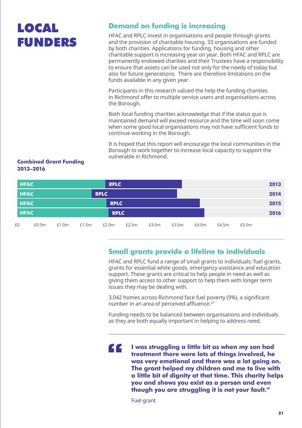# LOCAL FUNDERS

### **Demand on funding is increasing**

HFAC and RPLC invest in organisations and people through grants and the provision of charitable housing. 33 organisations are funded by both charities. Applications for funding, housing and other charitable support is increasing year on year. Both HFAC and RPLC are permanently endowed charities and their Trustees have a responsibility to ensure that assets can be used not only for the needy of today but also for future generations. There are therefore limitations on the funds available in any given year.

Participants in this research valued the help the funding charities in Richmond offer to multiple service users and organisations across the Borough.

Both local funding charities acknowledge that if the status quo is maintained demand will exceed resource and the time will soon come when some good local organisations may not have sufficient funds to continue working in the Borough.

It is hoped that this report will encourage the local communities in the Borough to work together to increase local capacity to support the vulnerable in Richmond.

#### **Combined Grant Funding 2013–2016**

|             | <b>HFAC</b> |       |             | <b>RPLC</b> |             |       |       |       |       |       | 2013 |
|-------------|-------------|-------|-------------|-------------|-------------|-------|-------|-------|-------|-------|------|
| <b>HFAC</b> |             |       | <b>RPLC</b> |             |             |       |       |       |       |       |      |
|             | <b>HFAC</b> |       |             | <b>RPLC</b> |             |       |       |       |       |       | 2015 |
|             | <b>HFAC</b> |       |             |             | <b>RPLC</b> |       |       |       |       |       |      |
| £0          | £0.5m       | £1.0m | £1.5m       | £2.0m       | £2.5m       | £3.0m | £3.5m | £4.0m | £4.5m | £5.0m |      |

#### **Small grants provide a lifeline to individuals**

HFAC and RPLC fund a range of small grants to individuals: fuel grants, grants for essential white goods, emergency assistance and education support. These grants are critical to help people in need as well as giving them access to other support to help them with longer term issues they may be dealing with.

3,042 homes across Richmond face fuel poverty (9%), a significant number in an area of perceived affluence.**<sup>27</sup>**

Funding needs to be balanced between organisations and individuals as they are both equally important in helping to address need.

EE.

**I was struggling a little bit as when my son had treatment there were lots of things involved, he was very emotional and there was a lot going on. The grant helped my children and me to live with a little bit of dignity at that time. This charity helps you and shows you exist as a person and even though you are struggling it is not your fault."** 

Fuel grant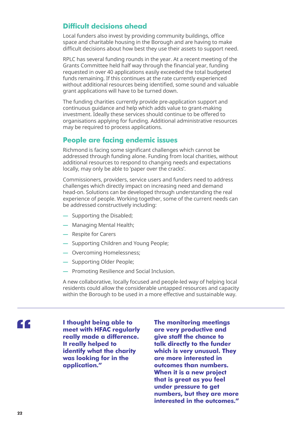#### **Difficult decisions ahead**

Local funders also invest by providing community buildings, office space and charitable housing in the Borough and are having to make difficult decisions about how best they use their assets to support need.

RPLC has several funding rounds in the year. At a recent meeting of the Grants Committee held half way through the financial year, funding requested in over 40 applications easily exceeded the total budgeted funds remaining. If this continues at the rate currently experienced without additional resources being identified, some sound and valuable grant applications will have to be turned down.

The funding charities currently provide pre-application support and continuous guidance and help which adds value to grant-making investment. Ideally these services should continue to be offered to organisations applying for funding. Additional administrative resources may be required to process applications.

#### **People are facing endemic issues**

Richmond is facing some significant challenges which cannot be addressed through funding alone. Funding from local charities, without additional resources to respond to changing needs and expectations locally, may only be able to 'paper over the cracks'.

Commissioners, providers, service users and funders need to address challenges which directly impact on increasing need and demand head-on. Solutions can be developed through understanding the real experience of people. Working together, some of the current needs can be addressed constructively including:

- **—** Supporting the Disabled;
- **—** Managing Mental Health;
- **—** Respite for Carers
- **—** Supporting Children and Young People;
- **—** Overcoming Homelessness;
- **—** Supporting Older People;
- **—** Promoting Resilience and Social Inclusion.

A new collaborative, locally focused and people-led way of helping local residents could allow the considerable untapped resources and capacity within the Borough to be used in a more effective and sustainable way.

**I thought being able to meet with HFAC regularly really made a difference. It really helped to identify what the charity was looking for in the application."**

**The monitoring meetings are very productive and give staff the chance to talk directly to the funder which is very unusual. They are more interested in outcomes than numbers. When it is a new project that is great as you feel under pressure to get numbers, but they are more interested in the outcomes."**

<u>cc</u>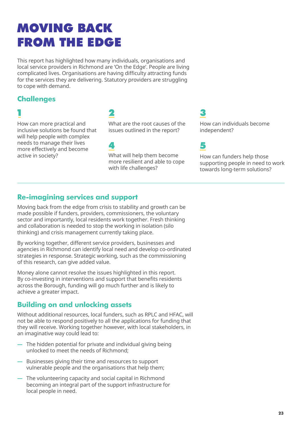# MOVING BACK FROM THE EDGE

This report has highlighted how many individuals, organisations and local service providers in Richmond are 'On the Edge'. People are living complicated lives. Organisations are having difficulty attracting funds for the services they are delivering. Statutory providers are struggling to cope with demand.

### **Challenges**

# 1 2

How can more practical and inclusive solutions be found that will help people with complex needs to manage their lives more effectively and become active in society?

What are the root causes of the issues outlined in the report?

### 4

What will help them become more resilient and able to cope with life challenges?

## 3

How can individuals become independent?

### 5

How can funders help those supporting people in need to work towards long-term solutions?

### **Re-imagining services and support**

Moving back from the edge from crisis to stability and growth can be made possible if funders, providers, commissioners, the voluntary sector and importantly, local residents work together. Fresh thinking and collaboration is needed to stop the working in isolation (silo thinking) and crisis management currently taking place.

By working together, different service providers, businesses and agencies in Richmond can identify local need and develop co-ordinated strategies in response. Strategic working, such as the commissioning of this research, can give added value.

Money alone cannot resolve the issues highlighted in this report. By co-investing in interventions and support that benefits residents across the Borough, funding will go much further and is likely to achieve a greater impact.

#### **Building on and unlocking assets**

Without additional resources, local funders, such as RPLC and HFAC, will not be able to respond positively to all the applications for funding that they will receive. Working together however, with local stakeholders, in an imaginative way could lead to:

- **—** The hidden potential for private and individual giving being unlocked to meet the needs of Richmond;
- **—** Businesses giving their time and resources to support vulnerable people and the organisations that help them;
- **—** The volunteering capacity and social capital in Richmond becoming an integral part of the support infrastructure for local people in need.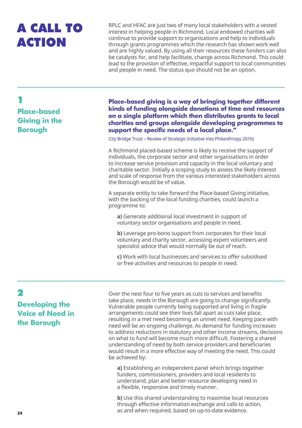# A CALL TO ACTION

RPLC and HFAC are just two of many local stakeholders with a vested interest in helping people in Richmond. Local endowed charities will continue to provide support to organisations and help to individuals through grants programmes which the research has shown work well and are highly valued. By using all their resources these funders can also be catalysts for, and help facilitate, change across Richmond. This could lead to the provision of effective, impactful support to local communities and people in need. The status quo should not be an option.

### 1

**Place-based Giving in the Borough**

**Place-based giving is a way of bringing together different kinds of funding alongside donations of time and resources on a single platform which then distributes grants to local charities and groups alongside developing programmes to support the specific needs of a local place."** 

City Bridge Trust – Review of Strategic Initiative into Philanthropy 2016)

A Richmond placed-based scheme is likely to receive the support of individuals, the corporate sector and other organisations in order to increase service provision and capacity in the local voluntary and charitable sector. Initially a scoping study to assess the likely interest and scale of response from the various interested stakeholders across the Borough would be of value.

A separate entity to take forward the Place-based Giving initiative, with the backing of the local funding charities, could launch a programme to:

**a)** Generate additional local investment in support of voluntary sector organisations and people in need.

**b)** Leverage pro-bono support from corporates for their local voluntary and charity sector, accessing expert volunteers and specialist advice that would normally be out of reach.

**c)** Work with local businesses and services to offer subsidised or free activities and resources to people in need.

### 2

### **Developing the Voice of Need in the Borough**

Over the next four to five years as cuts to services and benefits take place, needs in the Borough are going to change significantly. Vulnerable people currently being supported and living in fragile arrangements could see their lives fall apart as cuts take place, resulting in a met need becoming an unmet need. Keeping pace with need will be an ongoing challenge. As demand for funding increases to address reductions in statutory and other income streams, decisions on what to fund will become much more difficult. Fostering a shared understanding of need by both service providers and beneficiaries would result in a more effective way of meeting the need. This could be achieved by:

**a)** Establishing an independent panel which brings together funders, commissioners, providers and local residents to understand, plan and better resource developing need in a flexible, responsive and timely manner.

**b)** Use this shared understanding to maximise local resources through effective information exchange and calls to action, as and when required, based on up-to-date evidence.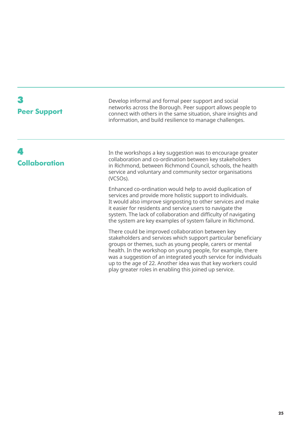| <b>Peer Support</b>  | Develop informal and formal peer support and social<br>networks across the Borough. Peer support allows people to<br>connect with others in the same situation, share insights and<br>information, and build resilience to manage challenges.                                                                                                                                                                                               |
|----------------------|---------------------------------------------------------------------------------------------------------------------------------------------------------------------------------------------------------------------------------------------------------------------------------------------------------------------------------------------------------------------------------------------------------------------------------------------|
| <b>Collaboration</b> | In the workshops a key suggestion was to encourage greater<br>collaboration and co-ordination between key stakeholders<br>in Richmond, between Richmond Council, schools, the health<br>service and voluntary and community sector organisations<br>(VCSO <sub>S</sub> ).                                                                                                                                                                   |
|                      | Enhanced co-ordination would help to avoid duplication of<br>services and provide more holistic support to individuals.<br>It would also improve signposting to other services and make<br>it easier for residents and service users to navigate the<br>system. The lack of collaboration and difficulty of navigating<br>the system are key examples of system failure in Richmond.                                                        |
|                      | There could be improved collaboration between key<br>stakeholders and services which support particular beneficiary<br>groups or themes, such as young people, carers or mental<br>health. In the workshop on young people, for example, there<br>was a suggestion of an integrated youth service for individuals<br>up to the age of 22. Another idea was that key workers could<br>play greater roles in enabling this joined up service. |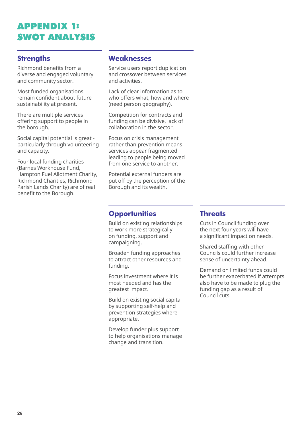# APPENDIX 1: SWOT ANALYSIS

### **Strengths**

Richmond benefits from a diverse and engaged voluntary and community sector.

Most funded organisations remain confident about future sustainability at present.

There are multiple services offering support to people in the borough.

Social capital potential is great particularly through volunteering and capacity.

Four local funding charities (Barnes Workhouse Fund, Hampton Fuel Allotment Charity, Richmond Charities, Richmond Parish Lands Charity) are of real benefit to the Borough.

#### **Weaknesses**

Service users report duplication and crossover between services and activities.

Lack of clear information as to who offers what, how and where (need person geography).

Competition for contracts and funding can be divisive, lack of collaboration in the sector.

Focus on crisis management rather than prevention means services appear fragmented leading to people being moved from one service to another.

Potential external funders are put off by the perception of the Borough and its wealth.

### **Opportunities**

Build on existing relationships to work more strategically on funding, support and campaigning.

Broaden funding approaches to attract other resources and funding.

Focus investment where it is most needed and has the greatest impact.

Build on existing social capital by supporting self-help and prevention strategies where appropriate.

Develop funder plus support to help organisations manage change and transition.

#### **Threats**

Cuts in Council funding over the next four years will have a significant impact on needs.

Shared staffing with other Councils could further increase sense of uncertainty ahead.

Demand on limited funds could be further exacerbated if attempts also have to be made to plug the funding gap as a result of Council cuts.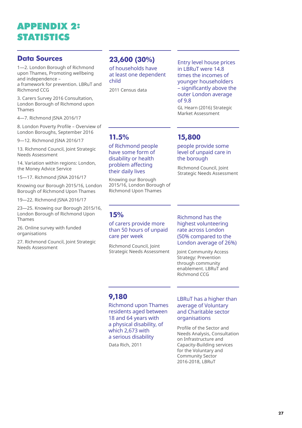# APPENDIX 2: STATISTICS

#### **Data Sources**

1—2. London Borough of Richmond upon Thames, Promoting wellbeing and independence – a framework for prevention. LBRuT and Richmond CCG

3. Carers Survey 2016 Consultation, London Borough of Richmond upon Thames

4—7. Richmond JSNA 2016/17

8. London Poverty Profile – Overview of London Boroughs, September 2016

9—12. Richmond JSNA 2016/17

13. Richmond Council, Joint Strategic Needs Assessment

14. Variation within regions: London, the Money Advice Service

15—17. Richmond JSNA 2016/17

Knowing our Borough 2015/16, London Borough of Richmond Upon Thames

19—22. Richmond JSNA 2016/17

23—25. Knowing our Borough 2015/16, London Borough of Richmond Upon Thames

26. Online survey with funded organisations

27. Richmond Council, Joint Strategic Needs Assessment

### **23,600 (30%)**

of households have at least one dependent child

2011 Census data

Entry level house prices in LBRuT were 14.8 times the incomes of younger householders – significantly above the outer London average of 9.8

GL Hearn (2016) Strategic Market Assessment

### **11.5%**

of Richmond people have some form of disability or health problem affecting their daily lives

Knowing our Borough 2015/16, London Borough of Richmond Upon Thames

#### **15,800**

people provide some level of unpaid care in the borough

Richmond Council, Joint Strategic Needs Assessment

#### **15%**

of carers provide more than 50 hours of unpaid care per week

Richmond Council, Joint Strategic Needs Assessment Richmond has the highest volunteering rate across London (50% compared to the London average of 26%)

Joint Community Access Strategy: Prevention through community enablement. LBRuT and Richmond CCG

#### **9,180**

Richmond upon Thames residents aged between 18 and 64 years with a physical disability, of which 2,673 with a serious disability

Data Rich, 2011

#### LBRuT has a higher than average of Voluntary and Charitable sector organisations

Profile of the Sector and Needs Analysis, Consultation on Infrastructure and Capacity-Building services for the Voluntary and Community Sector 2016-2018, LBRuT